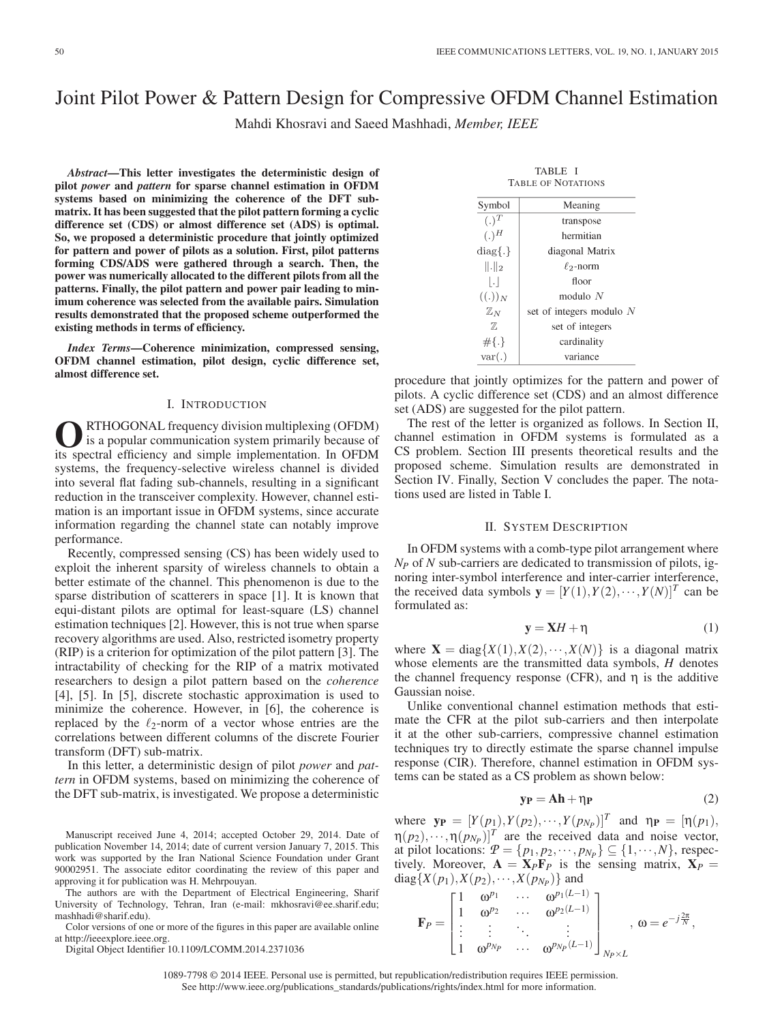# Joint Pilot Power & Pattern Design for Compressive OFDM Channel Estimation

Mahdi Khosravi and Saeed Mashhadi, *Member, IEEE*

*Abstract***—This letter investigates the deterministic design of pilot** *power* **and** *pattern* **for sparse channel estimation in OFDM systems based on minimizing the coherence of the DFT submatrix. It has been suggested that the pilot pattern forming a cyclic difference set (CDS) or almost difference set (ADS) is optimal. So, we proposed a deterministic procedure that jointly optimized for pattern and power of pilots as a solution. First, pilot patterns forming CDS/ADS were gathered through a search. Then, the power was numerically allocated to the different pilots from all the patterns. Finally, the pilot pattern and power pair leading to minimum coherence was selected from the available pairs. Simulation results demonstrated that the proposed scheme outperformed the existing methods in terms of efficiency.**

*Index Terms***—Coherence minimization, compressed sensing, OFDM channel estimation, pilot design, cyclic difference set, almost difference set.**

## I. INTRODUCTION

**O**RTHOGONAL frequency division multiplexing (OFDM) is a popular communication system primarily because of the spectral efficiency and simple implementation. In OFDM its spectral efficiency and simple implementation. In OFDM systems, the frequency-selective wireless channel is divided into several flat fading sub-channels, resulting in a significant reduction in the transceiver complexity. However, channel estimation is an important issue in OFDM systems, since accurate information regarding the channel state can notably improve performance.

Recently, compressed sensing (CS) has been widely used to exploit the inherent sparsity of wireless channels to obtain a better estimate of the channel. This phenomenon is due to the sparse distribution of scatterers in space [1]. It is known that equi-distant pilots are optimal for least-square (LS) channel estimation techniques [2]. However, this is not true when sparse recovery algorithms are used. Also, restricted isometry property (RIP) is a criterion for optimization of the pilot pattern [3]. The intractability of checking for the RIP of a matrix motivated researchers to design a pilot pattern based on the *coherence* [4], [5]. In [5], discrete stochastic approximation is used to minimize the coherence. However, in [6], the coherence is replaced by the  $\ell_2$ -norm of a vector whose entries are the correlations between different columns of the discrete Fourier transform (DFT) sub-matrix.

In this letter, a deterministic design of pilot *power* and *pattern* in OFDM systems, based on minimizing the coherence of the DFT sub-matrix, is investigated. We propose a deterministic

Manuscript received June 4, 2014; accepted October 29, 2014. Date of publication November 14, 2014; date of current version January 7, 2015. This work was supported by the Iran National Science Foundation under Grant 90002951. The associate editor coordinating the review of this paper and approving it for publication was H. Mehrpouyan.

The authors are with the Department of Electrical Engineering, Sharif University of Technology, Tehran, Iran (e-mail: mkhosravi@ee.sharif.edu; mashhadi@sharif.edu).

Color versions of one or more of the figures in this paper are available online at http://ieeexplore.ieee.org.

Digital Object Identifier 10.1109/LCOMM.2014.2371036

| TABLE I<br><b>TABLE OF NOTATIONS</b> |                          |  |  |  |  |
|--------------------------------------|--------------------------|--|--|--|--|
| Symbol                               | Meaning                  |  |  |  |  |
| $(.)^T$                              | transpose                |  |  |  |  |
| $(.)^H$                              | hermitian                |  |  |  |  |
| $diag\{.\}$                          | diagonal Matrix          |  |  |  |  |
| $\ .\ _2$                            | $\ell_2$ -norm           |  |  |  |  |
| $\vert . \vert$                      | floor                    |  |  |  |  |
| $((.))_N$                            | modulo $N$               |  |  |  |  |
| $\mathbb{Z}_N$                       | set of integers modulo N |  |  |  |  |
| 77,                                  | set of integers          |  |  |  |  |
| $#{.}$                               | cardinality              |  |  |  |  |
| var(.)                               | variance                 |  |  |  |  |

procedure that jointly optimizes for the pattern and power of pilots. A cyclic difference set (CDS) and an almost difference set (ADS) are suggested for the pilot pattern.

The rest of the letter is organized as follows. In Section II, channel estimation in OFDM systems is formulated as a CS problem. Section III presents theoretical results and the proposed scheme. Simulation results are demonstrated in Section IV. Finally, Section V concludes the paper. The notations used are listed in Table I.

#### II. SYSTEM DESCRIPTION

In OFDM systems with a comb-type pilot arrangement where *NP* of *N* sub-carriers are dedicated to transmission of pilots, ignoring inter-symbol interference and inter-carrier interference, the received data symbols  $\mathbf{y} = [Y(1), Y(2), \cdots, Y(N)]^T$  can be formulated as:

$$
y = XH + \eta \tag{1}
$$

where  $X = diag{X(1), X(2), \dots, X(N)}$  is a diagonal matrix whose elements are the transmitted data symbols, *H* denotes the channel frequency response (CFR), and  $\eta$  is the additive Gaussian noise.

Unlike conventional channel estimation methods that estimate the CFR at the pilot sub-carriers and then interpolate it at the other sub-carriers, compressive channel estimation techniques try to directly estimate the sparse channel impulse response (CIR). Therefore, channel estimation in OFDM systems can be stated as a CS problem as shown below:

$$
y_P = Ah + \eta_P \tag{2}
$$

where  $y_P = [Y(p_1), Y(p_2), \dots, Y(p_{N_P})]^T$  and  $\eta_P = [\eta(p_1), \dots, \eta(P_{N_P})]^T$  $\eta(p_2),\cdots,\eta(p_{N_P})]^T$  are the received data and noise vector, at pilot locations:  $P = \{p_1, p_2, \dots, p_{N_P}\} \subseteq \{1, \dots, N\}$ , respectively. Moreover,  $\mathbf{A} = \mathbf{X}_P \mathbf{F}_P$  is the sensing matrix,  $\mathbf{X}_P =$ diag{*X*( $p_1$ ),*X*( $p_2$ ), ···,*X*( $p_{N_P}$ )} and

$$
\mathbf{F}_P = \begin{bmatrix} 1 & \omega^{p_1} & \cdots & \omega^{p_1(L-1)} \\ 1 & \omega^{p_2} & \cdots & \omega^{p_2(L-1)} \\ \vdots & \vdots & \ddots & \vdots \\ 1 & \omega^{p_{N_P}} & \cdots & \omega^{p_{N_P}(L-1)} \end{bmatrix}_{N_P \times L}, \omega = e^{-j\frac{2\pi}{N}},
$$

1089-7798 © 2014 IEEE. Personal use is permitted, but republication/redistribution requires IEEE permission. See http://www.ieee.org/publications\_standards/publications/rights/index.html for more information.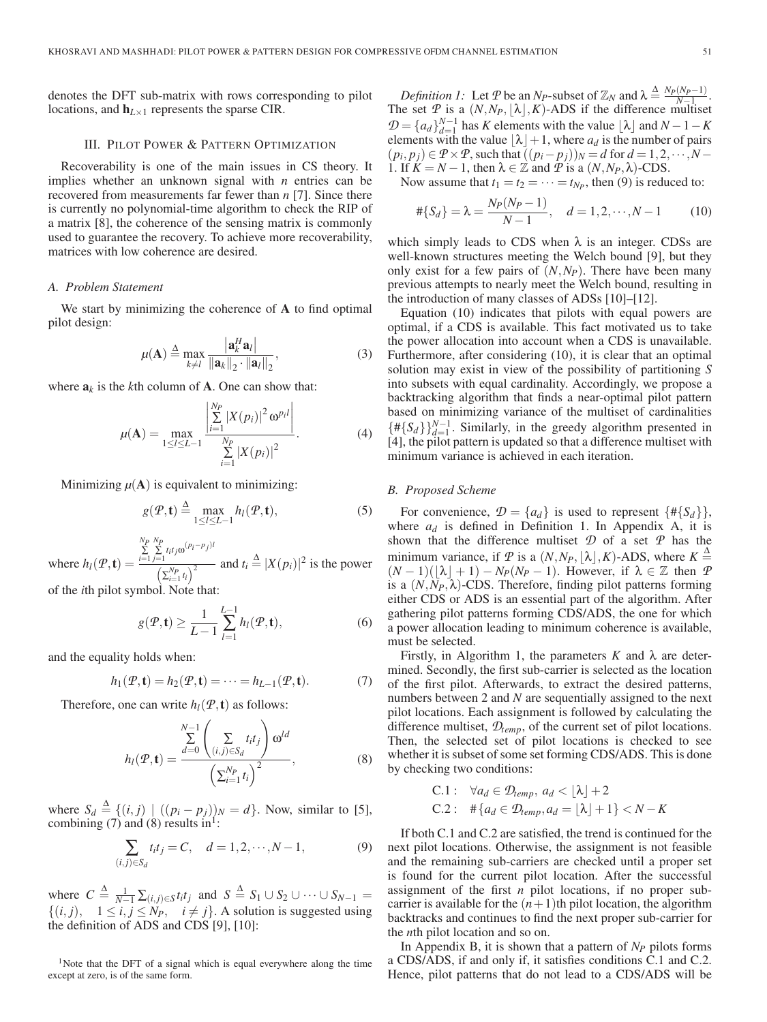denotes the DFT sub-matrix with rows corresponding to pilot locations, and  $\mathbf{h}_{L\times 1}$  represents the sparse CIR.

#### III. PILOT POWER & PATTERN OPTIMIZATION

Recoverability is one of the main issues in CS theory. It implies whether an unknown signal with *n* entries can be recovered from measurements far fewer than *n* [7]. Since there is currently no polynomial-time algorithm to check the RIP of a matrix [8], the coherence of the sensing matrix is commonly used to guarantee the recovery. To achieve more recoverability, matrices with low coherence are desired.

# *A. Problem Statement*

We start by minimizing the coherence of **A** to find optimal pilot design:

$$
\mu(\mathbf{A}) \stackrel{\Delta}{=} \max_{k \neq l} \frac{|\mathbf{a}_k^H \mathbf{a}_l|}{\|\mathbf{a}_k\|_2 \cdot \|\mathbf{a}_l\|_2},\tag{3}
$$

where  $a_k$  is the *k*th column of **A**. One can show that:

$$
\mu(\mathbf{A}) = \max_{1 \leq l \leq L-1} \frac{\left| \sum_{i=1}^{N_P} |X(p_i)|^2 \omega^{p_i l} \right|}{\sum_{i=1}^{N_P} |X(p_i)|^2}.
$$
 (4)

Minimizing  $\mu(A)$  is equivalent to minimizing:

$$
g(\mathcal{P}, \mathbf{t}) \stackrel{\Delta}{=} \max_{1 \leq l \leq L-1} h_l(\mathcal{P}, \mathbf{t}), \tag{5}
$$

where  $h_l(P, \mathbf{t}) =$ *NP* ∑ *i*=1  $\sum_{j=1}^{N_P} t_i t_j \omega^{(p_i - p_j)}$  $\frac{\sum_{i=1}^{N_p} r_i}{\left(\sum_{i=1}^{N_p} t_i\right)^2}$  and  $t_i \triangleq |X(p_i)|^2$  is the power

of the *i*th pilot symbol. Note that:

$$
g(\mathcal{P}, \mathbf{t}) \ge \frac{1}{L-1} \sum_{l=1}^{L-1} h_l(\mathcal{P}, \mathbf{t}), \tag{6}
$$

and the equality holds when:

$$
h_1(\mathcal{P}, \mathbf{t}) = h_2(\mathcal{P}, \mathbf{t}) = \dots = h_{L-1}(\mathcal{P}, \mathbf{t}). \tag{7}
$$

Therefore, one can write  $h_l(P, t)$  as follows:

$$
h_l(\mathcal{P}, \mathbf{t}) = \frac{\sum\limits_{d=0}^{N-1} \left( \sum\limits_{(i,j) \in S_d} t_i t_j \right) \omega^{ld}}{\left( \sum_{i=1}^{N_P} t_i \right)^2}, \tag{8}
$$

where  $S_d \triangleq \{ (i, j) \mid ((p_i - p_j))_N = d \}$ . Now, similar to [5], combining (7) and (8) results in<sup>1</sup>:

$$
\sum_{(i,j)\in S_d} t_i t_j = C, \quad d = 1, 2, \cdots, N-1,
$$
 (9)

where  $C \triangleq \frac{1}{N-1} \sum_{(i,j) \in S} t_i t_j$  and  $S \triangleq S_1 \cup S_2 \cup \cdots \cup S_{N-1} =$  $\{(i, j), 1 \le i, j \le N_P, i \ne j\}$ . A solution is suggested using the definition of ADS and CDS [9], [10]:

<sup>1</sup>Note that the DFT of a signal which is equal everywhere along the time except at zero, is of the same form.

*Definition 1:* Let *P* be an *N<sub>P</sub>*-subset of  $\mathbb{Z}_N$  and  $\lambda \stackrel{\Delta}{=} \frac{N_P(N_P-1)}{N-1}$ . The set  $\mathcal{P}$  is a  $(N, N_P, \lfloor \lambda \rfloor, K)$ -ADS if the difference multiset  $\mathcal{D} = \{a_d\}_{d=1}^{N-1}$  has *K* elements with the value  $\lfloor \lambda \rfloor$  and  $N - 1 - K$ elements with the value  $\lfloor \lambda \rfloor + 1$ , where  $a_d$  is the number of pairs  $(p_i, p_j) \in \mathcal{P} \times \mathcal{P}$ , such that  $((p_i-p_j))_N = d$  for  $d = 1, 2, \dots, N-1$ 1. If  $K = N - 1$ , then  $\lambda \in \mathbb{Z}$  and  $\hat{T}$  is a  $(N, N_P, \lambda)$ -CDS.

Now assume that  $t_1 = t_2 = \cdots = t_{N_P}$ , then (9) is reduced to:

$$
\#\{S_d\} = \lambda = \frac{N_P(N_P - 1)}{N - 1}, \quad d = 1, 2, \cdots, N - 1 \tag{10}
$$

which simply leads to CDS when  $\lambda$  is an integer. CDSs are well-known structures meeting the Welch bound [9], but they only exist for a few pairs of  $(N, N_P)$ . There have been many previous attempts to nearly meet the Welch bound, resulting in the introduction of many classes of ADSs [10]–[12].

Equation (10) indicates that pilots with equal powers are optimal, if a CDS is available. This fact motivated us to take the power allocation into account when a CDS is unavailable. Furthermore, after considering (10), it is clear that an optimal solution may exist in view of the possibility of partitioning *S* into subsets with equal cardinality. Accordingly, we propose a backtracking algorithm that finds a near-optimal pilot pattern based on minimizing variance of the multiset of cardinalities  ${\{\# \{S_d\}\}}_{d=1}^{N-1}$ . Similarly, in the greedy algorithm presented in [4], the pilot pattern is updated so that a difference multiset with minimum variance is achieved in each iteration.

# *B. Proposed Scheme*

For convenience,  $\mathcal{D} = \{a_d\}$  is used to represent  $\{\#\{S_d\}\}\,$ , where  $a_d$  is defined in Definition 1. In Appendix A, it is shown that the difference multiset *D* of a set *P* has the minimum variance, if  $P$  is a  $(N, N_P, \lfloor \lambda \rfloor, K)$ -ADS, where  $K \stackrel{\Delta}{=}$  $(N-1)(\lfloor \lambda \rfloor + 1) - N_P(N_P - 1)$ . However, if  $\lambda \in \mathbb{Z}$  then *P* is a  $(N, N_P, \lambda)$ -CDS. Therefore, finding pilot patterns forming either CDS or ADS is an essential part of the algorithm. After gathering pilot patterns forming CDS/ADS, the one for which a power allocation leading to minimum coherence is available, must be selected.

Firstly, in Algorithm 1, the parameters  $K$  and  $\lambda$  are determined. Secondly, the first sub-carrier is selected as the location of the first pilot. Afterwards, to extract the desired patterns, numbers between 2 and *N* are sequentially assigned to the next pilot locations. Each assignment is followed by calculating the difference multiset, *Dtemp*, of the current set of pilot locations. Then, the selected set of pilot locations is checked to see whether it is subset of some set forming CDS/ADS. This is done by checking two conditions:

C.1: 
$$
\forall a_d \in \mathcal{D}_{temp}, a_d < \lfloor \lambda \rfloor + 2
$$
  
C.2:  $\# \{a_d \in \mathcal{D}_{temp}, a_d = \lfloor \lambda \rfloor + 1\} < N - K$ 

If both C.1 and C.2 are satisfied, the trend is continued for the next pilot locations. Otherwise, the assignment is not feasible and the remaining sub-carriers are checked until a proper set is found for the current pilot location. After the successful assignment of the first *n* pilot locations, if no proper subcarrier is available for the  $(n+1)$ th pilot location, the algorithm backtracks and continues to find the next proper sub-carrier for the *n*th pilot location and so on.

In Appendix B, it is shown that a pattern of  $N_P$  pilots forms a CDS/ADS, if and only if, it satisfies conditions C.1 and C.2. Hence, pilot patterns that do not lead to a CDS/ADS will be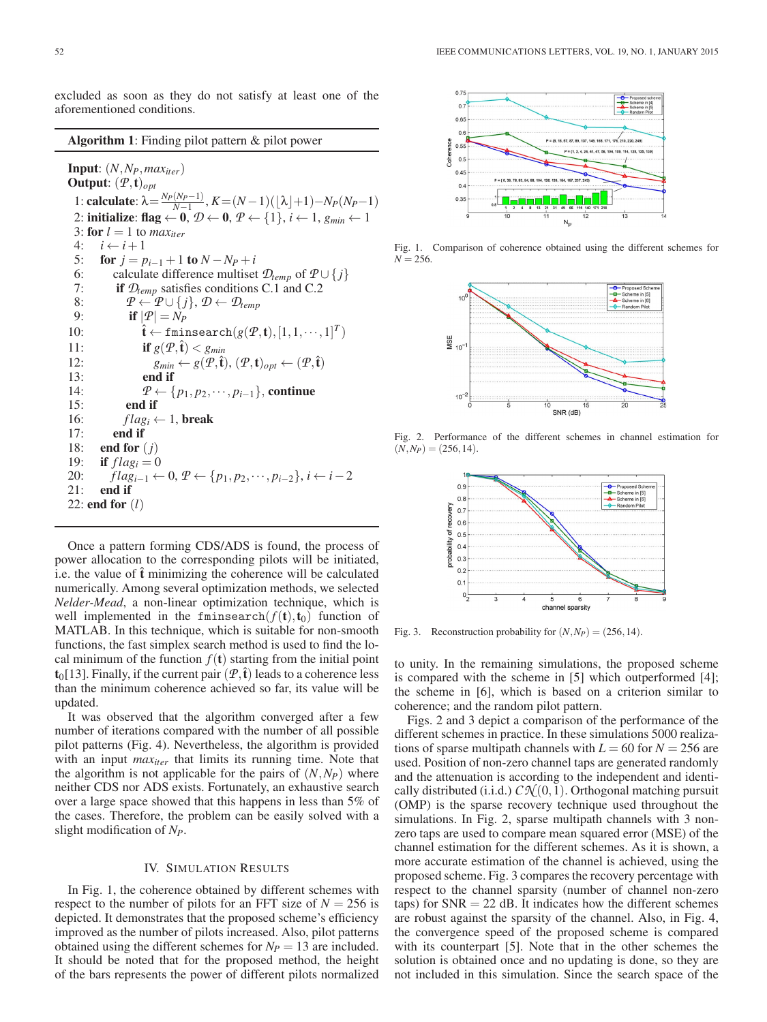excluded as soon as they do not satisfy at least one of the aforementioned conditions.

**Algorithm 1**: Finding pilot pattern & pilot power

**Input**:  $(N, N_P, max_{iter})$ **Output**: (*P*,**t**)*opt* 1: **calculate**:  $λ = \frac{N_P(N_P-1)}{N-1}$ ,  $K = (N-1)(\lfloor λ \rfloor + 1) - N_P(N_P-1)$ 2: **initialize**:  $\text{flag} \leftarrow 0$ ,  $\mathcal{D} \leftarrow 0$ ,  $\mathcal{P} \leftarrow \{1\}$ ,  $i \leftarrow 1$ ,  $g_{min} \leftarrow 1$ 3: **for**  $l = 1$  to *max<sub>iter</sub>*  $4: i \leftarrow i+1$ 5: **for**  $j = p_{i-1} + 1$  **to**  $N - N_p + i$ 6: calculate difference multiset  $\mathcal{D}_{temp}$  of  $P \cup \{j\}$ <br>7: **if**  $\mathcal{D}_{temp}$  satisfies conditions C.1 and C.2 if  $\mathcal{D}_{temp}$  satisfies conditions C.1 and C.2 8:  $P \leftarrow P \cup \{j\}, \mathcal{D} \leftarrow \mathcal{D}_{temp}$ <br>9: **if**  $|P| = N_P$ if  $|\mathcal{P}| = N_P$ 10:  $\hat{\mathbf{t}} \leftarrow \text{fminsearch}(g(\mathcal{P}, \mathbf{t}), [1, 1, \cdots, 1]^T)$ 11: **if**  $g(P, \hat{\mathbf{t}}) < g_{min}$ 12:  $g_{min} \leftarrow g(\mathcal{P}, \hat{\mathbf{t}}), (\mathcal{P}, \mathbf{t})_{opt} \leftarrow (\mathcal{P}, \hat{\mathbf{t}})$ 13: **end if** 14:  $P \leftarrow \{p_1, p_2, \cdots, p_{i-1}\},$  **continue**<br>15: **end if** 15: **end if** 16:  $flag_i \leftarrow 1$ , **break**<br>17: **end if** end if 18: **end for** (*j*) 19: **if**  $flag_i = 0$ 20:  $flag_{i-1}$  ← 0,  $P$  ← { $p_1, p_2, \dots, p_{i-2}$ },  $i \leftarrow i-2$ 21: **end if** 22: **end for** (*l*)

Once a pattern forming CDS/ADS is found, the process of power allocation to the corresponding pilots will be initiated, i.e. the value of  $\hat{\mathbf{t}}$  minimizing the coherence will be calculated numerically. Among several optimization methods, we selected *Nelder-Mead*, a non-linear optimization technique, which is well implemented in the fminsearch $(f(t), t_0)$  function of MATLAB. In this technique, which is suitable for non-smooth functions, the fast simplex search method is used to find the local minimum of the function  $f(t)$  starting from the initial point  $\mathbf{t}_0$ [13]. Finally, if the current pair  $(\mathcal{P}, \hat{\mathbf{t}})$  leads to a coherence less than the minimum coherence achieved so far, its value will be updated.

It was observed that the algorithm converged after a few number of iterations compared with the number of all possible pilot patterns (Fig. 4). Nevertheless, the algorithm is provided with an input  $max_{iter}$  that limits its running time. Note that the algorithm is not applicable for the pairs of  $(N, N_P)$  where neither CDS nor ADS exists. Fortunately, an exhaustive search over a large space showed that this happens in less than 5% of the cases. Therefore, the problem can be easily solved with a slight modification of *NP*.

### IV. SIMULATION RESULTS

In Fig. 1, the coherence obtained by different schemes with respect to the number of pilots for an FFT size of  $N = 256$  is depicted. It demonstrates that the proposed scheme's efficiency improved as the number of pilots increased. Also, pilot patterns obtained using the different schemes for  $N_P = 13$  are included. It should be noted that for the proposed method, the height of the bars represents the power of different pilots normalized



Fig. 1. Comparison of coherence obtained using the different schemes for  $N = 256$ .



Fig. 2. Performance of the different schemes in channel estimation for  $(N, N_P) = (256, 14).$ 



Fig. 3. Reconstruction probability for  $(N, N_P) = (256, 14)$ .

to unity. In the remaining simulations, the proposed scheme is compared with the scheme in [5] which outperformed [4]; the scheme in [6], which is based on a criterion similar to coherence; and the random pilot pattern.

Figs. 2 and 3 depict a comparison of the performance of the different schemes in practice. In these simulations 5000 realizations of sparse multipath channels with  $L = 60$  for  $N = 256$  are used. Position of non-zero channel taps are generated randomly and the attenuation is according to the independent and identically distributed (i.i.d.)  $C\mathcal{N}(0,1)$ . Orthogonal matching pursuit (OMP) is the sparse recovery technique used throughout the simulations. In Fig. 2, sparse multipath channels with 3 nonzero taps are used to compare mean squared error (MSE) of the channel estimation for the different schemes. As it is shown, a more accurate estimation of the channel is achieved, using the proposed scheme. Fig. 3 compares the recovery percentage with respect to the channel sparsity (number of channel non-zero taps) for  $SNR = 22$  dB. It indicates how the different schemes are robust against the sparsity of the channel. Also, in Fig. 4, the convergence speed of the proposed scheme is compared with its counterpart [5]. Note that in the other schemes the solution is obtained once and no updating is done, so they are not included in this simulation. Since the search space of the